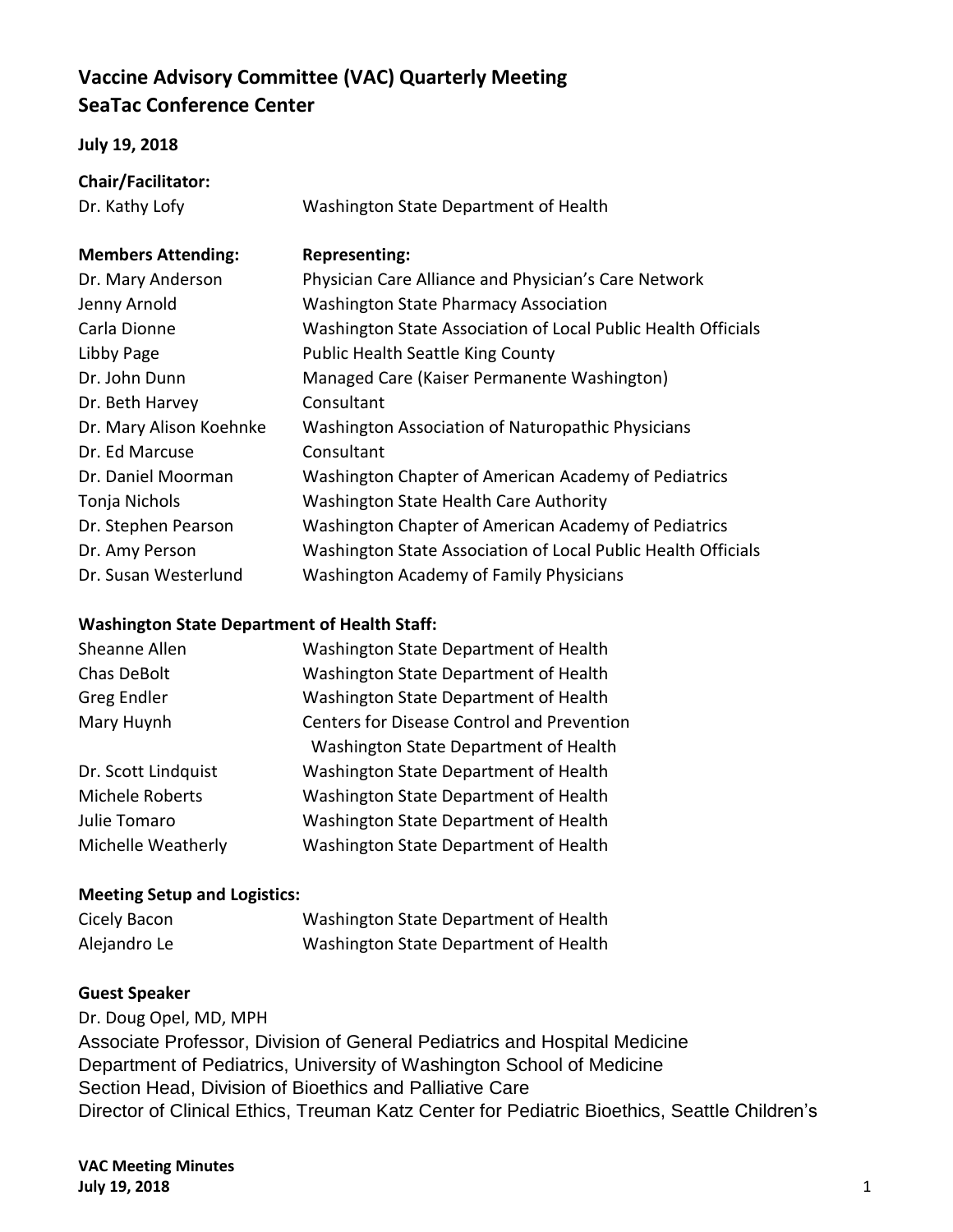# **Vaccine Advisory Committee (VAC) Quarterly Meeting SeaTac Conference Center**

### **July 19, 2018**

# **Chair/Facilitator:**

Dr. Kathy Lofy Washington State Department of Health

### **Members Attending: Representing:**

| Dr. Mary Anderson       | Physician Care Alliance and Physician's Care Network          |
|-------------------------|---------------------------------------------------------------|
| Jenny Arnold            | <b>Washington State Pharmacy Association</b>                  |
| Carla Dionne            | Washington State Association of Local Public Health Officials |
| Libby Page              | <b>Public Health Seattle King County</b>                      |
| Dr. John Dunn           | Managed Care (Kaiser Permanente Washington)                   |
| Dr. Beth Harvey         | Consultant                                                    |
| Dr. Mary Alison Koehnke | Washington Association of Naturopathic Physicians             |
| Dr. Ed Marcuse          | Consultant                                                    |
| Dr. Daniel Moorman      | Washington Chapter of American Academy of Pediatrics          |
| Tonja Nichols           | Washington State Health Care Authority                        |
| Dr. Stephen Pearson     | Washington Chapter of American Academy of Pediatrics          |
| Dr. Amy Person          | Washington State Association of Local Public Health Officials |
| Dr. Susan Westerlund    | Washington Academy of Family Physicians                       |

### **Washington State Department of Health Staff:**

| Sheanne Allen          | Washington State Department of Health             |
|------------------------|---------------------------------------------------|
| Chas DeBolt            | Washington State Department of Health             |
| Greg Endler            | Washington State Department of Health             |
| Mary Huynh             | <b>Centers for Disease Control and Prevention</b> |
|                        | Washington State Department of Health             |
| Dr. Scott Lindquist    | Washington State Department of Health             |
| <b>Michele Roberts</b> | Washington State Department of Health             |
| Julie Tomaro           | Washington State Department of Health             |
| Michelle Weatherly     | Washington State Department of Health             |
|                        |                                                   |

## **Meeting Setup and Logistics:**

| Cicely Bacon | Washington State Department of Health |
|--------------|---------------------------------------|
| Alejandro Le | Washington State Department of Health |

## **Guest Speaker**

Dr. Doug Opel, MD, MPH Associate Professor, Division of General Pediatrics and Hospital Medicine Department of Pediatrics, University of Washington School of Medicine Section Head, Division of Bioethics and Palliative Care Director of Clinical Ethics, Treuman Katz Center for Pediatric Bioethics, Seattle Children's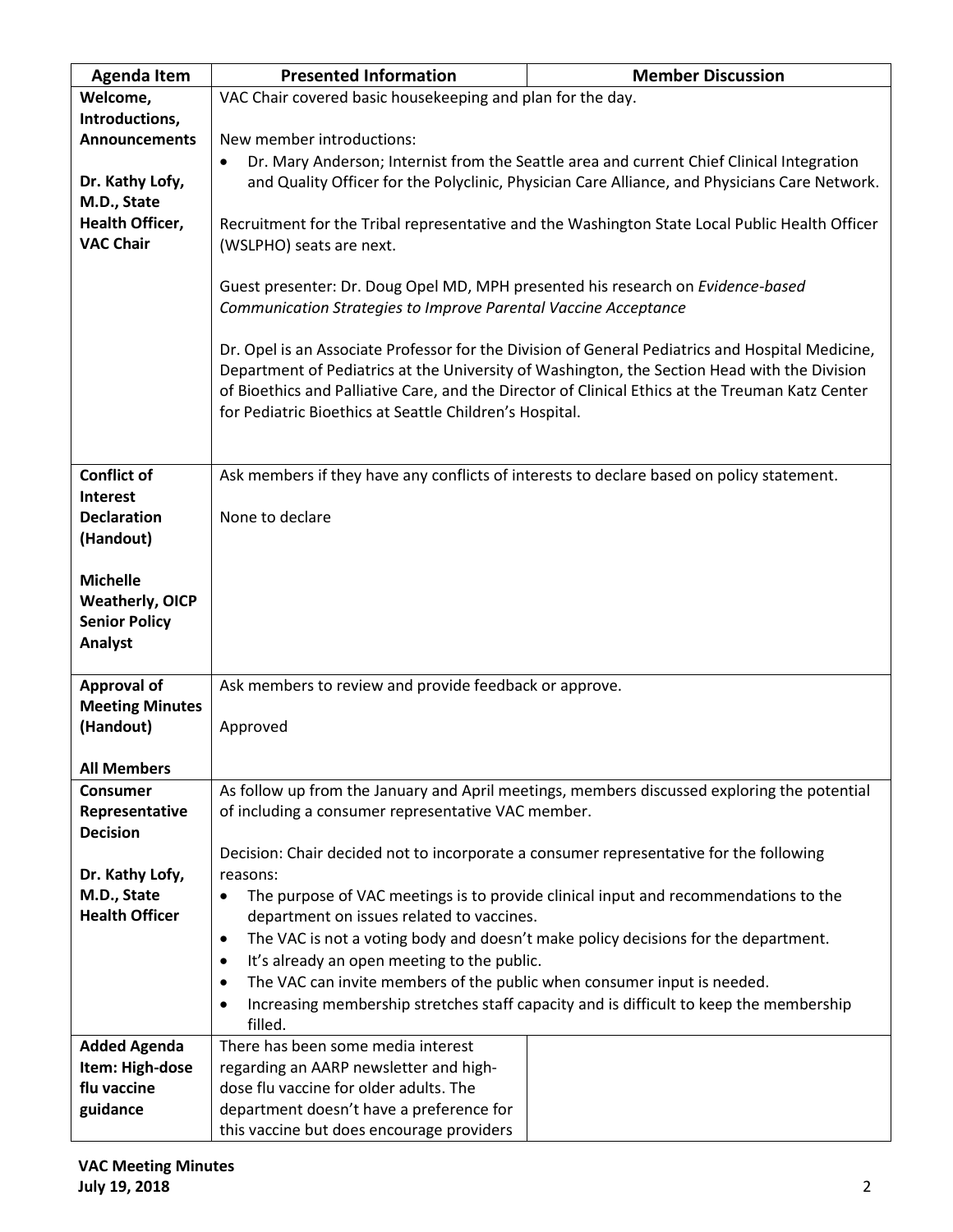| <b>Agenda Item</b>     | <b>Presented Information</b>                                                                       | <b>Member Discussion</b>                                                                         |  |
|------------------------|----------------------------------------------------------------------------------------------------|--------------------------------------------------------------------------------------------------|--|
| Welcome,               | VAC Chair covered basic housekeeping and plan for the day.                                         |                                                                                                  |  |
| Introductions,         |                                                                                                    |                                                                                                  |  |
| <b>Announcements</b>   | New member introductions:                                                                          |                                                                                                  |  |
|                        | $\bullet$                                                                                          | Dr. Mary Anderson; Internist from the Seattle area and current Chief Clinical Integration        |  |
| Dr. Kathy Lofy,        |                                                                                                    | and Quality Officer for the Polyclinic, Physician Care Alliance, and Physicians Care Network.    |  |
| M.D., State            |                                                                                                    |                                                                                                  |  |
| <b>Health Officer,</b> |                                                                                                    | Recruitment for the Tribal representative and the Washington State Local Public Health Officer   |  |
| <b>VAC Chair</b>       | (WSLPHO) seats are next.                                                                           |                                                                                                  |  |
|                        |                                                                                                    |                                                                                                  |  |
|                        | Guest presenter: Dr. Doug Opel MD, MPH presented his research on Evidence-based                    |                                                                                                  |  |
|                        | Communication Strategies to Improve Parental Vaccine Acceptance                                    |                                                                                                  |  |
|                        |                                                                                                    |                                                                                                  |  |
|                        |                                                                                                    | Dr. Opel is an Associate Professor for the Division of General Pediatrics and Hospital Medicine, |  |
|                        |                                                                                                    | Department of Pediatrics at the University of Washington, the Section Head with the Division     |  |
|                        |                                                                                                    | of Bioethics and Palliative Care, and the Director of Clinical Ethics at the Treuman Katz Center |  |
|                        | for Pediatric Bioethics at Seattle Children's Hospital.                                            |                                                                                                  |  |
|                        |                                                                                                    |                                                                                                  |  |
| <b>Conflict of</b>     |                                                                                                    | Ask members if they have any conflicts of interests to declare based on policy statement.        |  |
| Interest               |                                                                                                    |                                                                                                  |  |
| <b>Declaration</b>     | None to declare                                                                                    |                                                                                                  |  |
| (Handout)              |                                                                                                    |                                                                                                  |  |
|                        |                                                                                                    |                                                                                                  |  |
| <b>Michelle</b>        |                                                                                                    |                                                                                                  |  |
| <b>Weatherly, OICP</b> |                                                                                                    |                                                                                                  |  |
| <b>Senior Policy</b>   |                                                                                                    |                                                                                                  |  |
| Analyst                |                                                                                                    |                                                                                                  |  |
|                        |                                                                                                    |                                                                                                  |  |
| <b>Approval of</b>     | Ask members to review and provide feedback or approve.                                             |                                                                                                  |  |
| <b>Meeting Minutes</b> |                                                                                                    |                                                                                                  |  |
| (Handout)              | Approved                                                                                           |                                                                                                  |  |
|                        |                                                                                                    |                                                                                                  |  |
| <b>All Members</b>     |                                                                                                    |                                                                                                  |  |
| <b>Consumer</b>        |                                                                                                    | As follow up from the January and April meetings, members discussed exploring the potential      |  |
| Representative         | of including a consumer representative VAC member.                                                 |                                                                                                  |  |
| <b>Decision</b>        |                                                                                                    |                                                                                                  |  |
| Dr. Kathy Lofy,        | Decision: Chair decided not to incorporate a consumer representative for the following<br>reasons: |                                                                                                  |  |
| M.D., State            | $\bullet$                                                                                          | The purpose of VAC meetings is to provide clinical input and recommendations to the              |  |
| <b>Health Officer</b>  | department on issues related to vaccines.                                                          |                                                                                                  |  |
|                        | $\bullet$                                                                                          | The VAC is not a voting body and doesn't make policy decisions for the department.               |  |
|                        | It's already an open meeting to the public.<br>$\bullet$                                           |                                                                                                  |  |
|                        | The VAC can invite members of the public when consumer input is needed.<br>$\bullet$               |                                                                                                  |  |
|                        |                                                                                                    | Increasing membership stretches staff capacity and is difficult to keep the membership           |  |
|                        | filled.                                                                                            |                                                                                                  |  |
| <b>Added Agenda</b>    | There has been some media interest                                                                 |                                                                                                  |  |
| Item: High-dose        | regarding an AARP newsletter and high-                                                             |                                                                                                  |  |
| flu vaccine            | dose flu vaccine for older adults. The                                                             |                                                                                                  |  |
| guidance               | department doesn't have a preference for                                                           |                                                                                                  |  |
|                        | this vaccine but does encourage providers                                                          |                                                                                                  |  |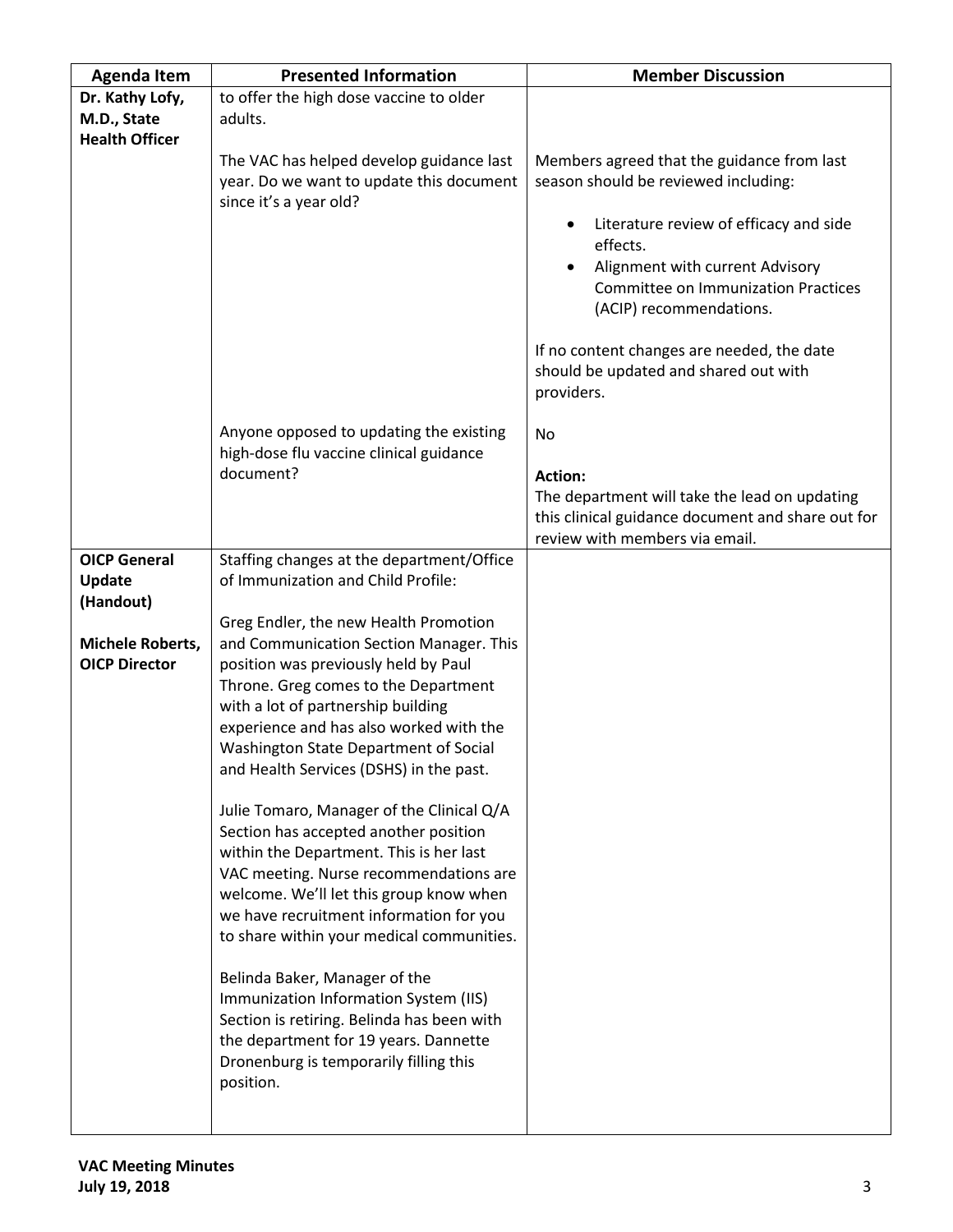| <b>Agenda Item</b>    | <b>Presented Information</b>                                                                                                                                                                                         | <b>Member Discussion</b>                                                                          |
|-----------------------|----------------------------------------------------------------------------------------------------------------------------------------------------------------------------------------------------------------------|---------------------------------------------------------------------------------------------------|
| Dr. Kathy Lofy,       | to offer the high dose vaccine to older                                                                                                                                                                              |                                                                                                   |
| M.D., State           | adults.                                                                                                                                                                                                              |                                                                                                   |
| <b>Health Officer</b> |                                                                                                                                                                                                                      |                                                                                                   |
|                       | The VAC has helped develop guidance last<br>year. Do we want to update this document<br>since it's a year old?                                                                                                       | Members agreed that the guidance from last<br>season should be reviewed including:                |
|                       |                                                                                                                                                                                                                      | Literature review of efficacy and side<br>effects.<br>Alignment with current Advisory             |
|                       |                                                                                                                                                                                                                      | <b>Committee on Immunization Practices</b><br>(ACIP) recommendations.                             |
|                       |                                                                                                                                                                                                                      | If no content changes are needed, the date<br>should be updated and shared out with<br>providers. |
|                       | Anyone opposed to updating the existing<br>high-dose flu vaccine clinical guidance                                                                                                                                   | No                                                                                                |
|                       | document?                                                                                                                                                                                                            | <b>Action:</b>                                                                                    |
|                       |                                                                                                                                                                                                                      | The department will take the lead on updating                                                     |
|                       |                                                                                                                                                                                                                      | this clinical guidance document and share out for<br>review with members via email.               |
| <b>OICP General</b>   | Staffing changes at the department/Office                                                                                                                                                                            |                                                                                                   |
| Update                | of Immunization and Child Profile:                                                                                                                                                                                   |                                                                                                   |
| (Handout)             |                                                                                                                                                                                                                      |                                                                                                   |
|                       | Greg Endler, the new Health Promotion                                                                                                                                                                                |                                                                                                   |
| Michele Roberts,      | and Communication Section Manager. This                                                                                                                                                                              |                                                                                                   |
| <b>OICP Director</b>  | position was previously held by Paul                                                                                                                                                                                 |                                                                                                   |
|                       | Throne. Greg comes to the Department<br>with a lot of partnership building                                                                                                                                           |                                                                                                   |
|                       | experience and has also worked with the                                                                                                                                                                              |                                                                                                   |
|                       | Washington State Department of Social                                                                                                                                                                                |                                                                                                   |
|                       | and Health Services (DSHS) in the past.                                                                                                                                                                              |                                                                                                   |
|                       |                                                                                                                                                                                                                      |                                                                                                   |
|                       | Julie Tomaro, Manager of the Clinical Q/A                                                                                                                                                                            |                                                                                                   |
|                       | Section has accepted another position<br>within the Department. This is her last                                                                                                                                     |                                                                                                   |
|                       | VAC meeting. Nurse recommendations are                                                                                                                                                                               |                                                                                                   |
|                       | welcome. We'll let this group know when                                                                                                                                                                              |                                                                                                   |
|                       | we have recruitment information for you                                                                                                                                                                              |                                                                                                   |
|                       | to share within your medical communities.                                                                                                                                                                            |                                                                                                   |
|                       | Belinda Baker, Manager of the<br>Immunization Information System (IIS)<br>Section is retiring. Belinda has been with<br>the department for 19 years. Dannette<br>Dronenburg is temporarily filling this<br>position. |                                                                                                   |
|                       |                                                                                                                                                                                                                      |                                                                                                   |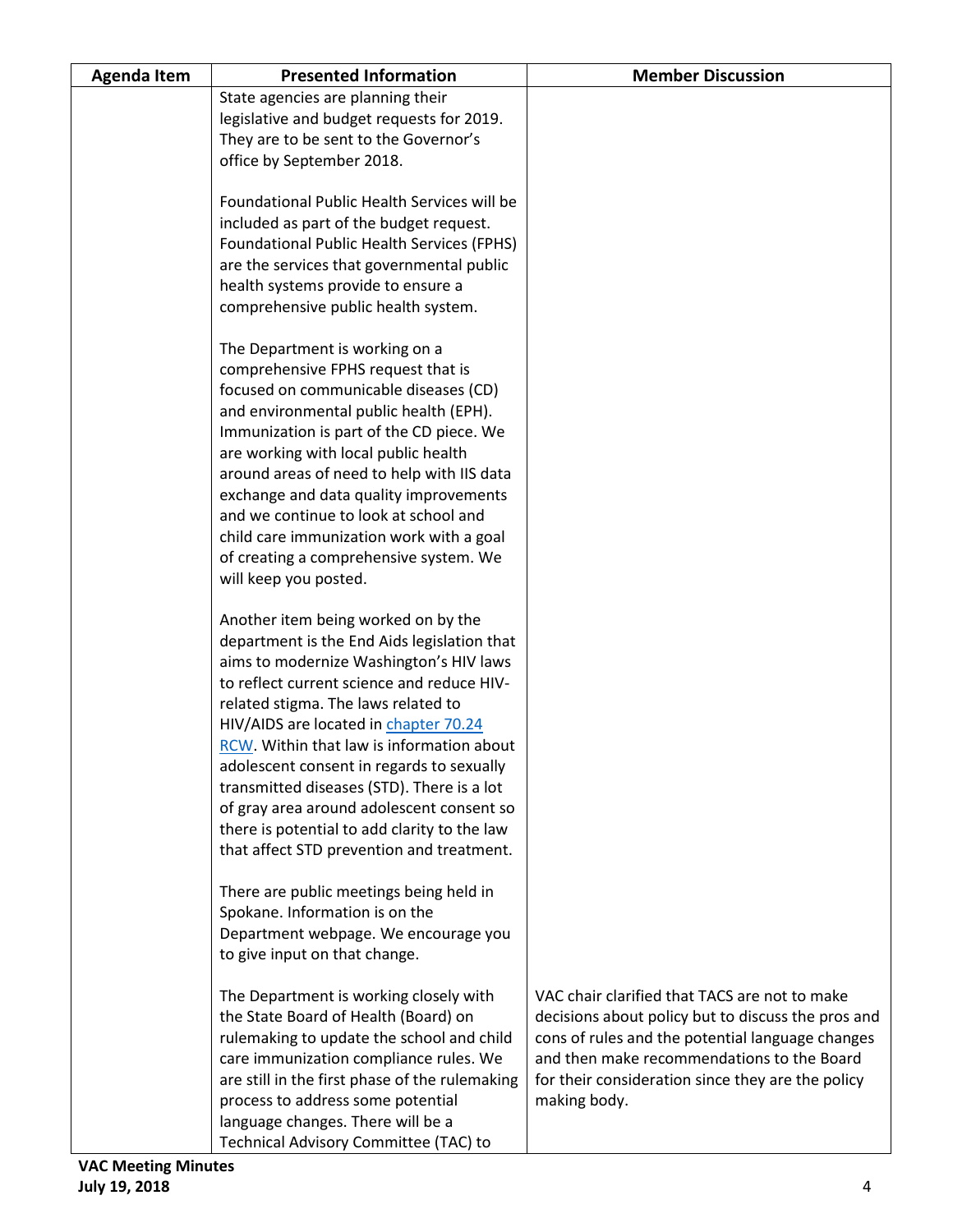| <b>Agenda Item</b> | <b>Presented Information</b>                                                            | <b>Member Discussion</b>                                                                            |
|--------------------|-----------------------------------------------------------------------------------------|-----------------------------------------------------------------------------------------------------|
|                    | State agencies are planning their                                                       |                                                                                                     |
|                    | legislative and budget requests for 2019.                                               |                                                                                                     |
|                    | They are to be sent to the Governor's                                                   |                                                                                                     |
|                    | office by September 2018.                                                               |                                                                                                     |
|                    | Foundational Public Health Services will be                                             |                                                                                                     |
|                    | included as part of the budget request.                                                 |                                                                                                     |
|                    | <b>Foundational Public Health Services (FPHS)</b>                                       |                                                                                                     |
|                    | are the services that governmental public                                               |                                                                                                     |
|                    | health systems provide to ensure a                                                      |                                                                                                     |
|                    | comprehensive public health system.                                                     |                                                                                                     |
|                    |                                                                                         |                                                                                                     |
|                    | The Department is working on a                                                          |                                                                                                     |
|                    | comprehensive FPHS request that is                                                      |                                                                                                     |
|                    | focused on communicable diseases (CD)                                                   |                                                                                                     |
|                    | and environmental public health (EPH).                                                  |                                                                                                     |
|                    | Immunization is part of the CD piece. We                                                |                                                                                                     |
|                    | are working with local public health                                                    |                                                                                                     |
|                    | around areas of need to help with IIS data                                              |                                                                                                     |
|                    | exchange and data quality improvements<br>and we continue to look at school and         |                                                                                                     |
|                    | child care immunization work with a goal                                                |                                                                                                     |
|                    | of creating a comprehensive system. We                                                  |                                                                                                     |
|                    | will keep you posted.                                                                   |                                                                                                     |
|                    |                                                                                         |                                                                                                     |
|                    | Another item being worked on by the                                                     |                                                                                                     |
|                    | department is the End Aids legislation that                                             |                                                                                                     |
|                    | aims to modernize Washington's HIV laws                                                 |                                                                                                     |
|                    | to reflect current science and reduce HIV-                                              |                                                                                                     |
|                    | related stigma. The laws related to                                                     |                                                                                                     |
|                    | HIV/AIDS are located in chapter 70.24                                                   |                                                                                                     |
|                    | RCW. Within that law is information about                                               |                                                                                                     |
|                    | adolescent consent in regards to sexually<br>transmitted diseases (STD). There is a lot |                                                                                                     |
|                    | of gray area around adolescent consent so                                               |                                                                                                     |
|                    | there is potential to add clarity to the law                                            |                                                                                                     |
|                    | that affect STD prevention and treatment.                                               |                                                                                                     |
|                    |                                                                                         |                                                                                                     |
|                    | There are public meetings being held in                                                 |                                                                                                     |
|                    | Spokane. Information is on the                                                          |                                                                                                     |
|                    | Department webpage. We encourage you                                                    |                                                                                                     |
|                    | to give input on that change.                                                           |                                                                                                     |
|                    |                                                                                         |                                                                                                     |
|                    | The Department is working closely with<br>the State Board of Health (Board) on          | VAC chair clarified that TACS are not to make<br>decisions about policy but to discuss the pros and |
|                    | rulemaking to update the school and child                                               | cons of rules and the potential language changes                                                    |
|                    | care immunization compliance rules. We                                                  | and then make recommendations to the Board                                                          |
|                    | are still in the first phase of the rulemaking                                          | for their consideration since they are the policy                                                   |
|                    | process to address some potential                                                       | making body.                                                                                        |
|                    | language changes. There will be a                                                       |                                                                                                     |
|                    | Technical Advisory Committee (TAC) to                                                   |                                                                                                     |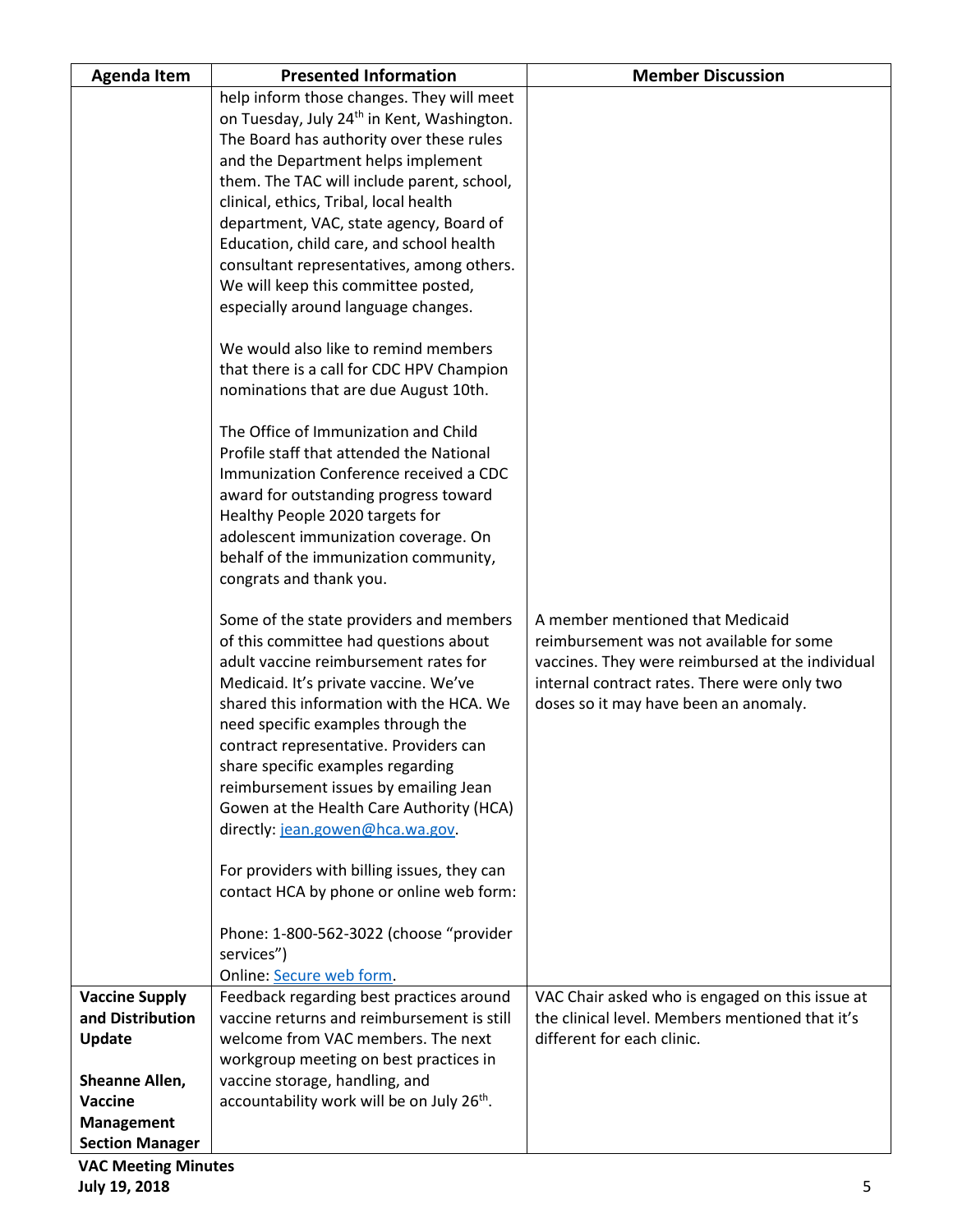| <b>Agenda Item</b>     | <b>Presented Information</b>                                                                                                                                                                                                                                                                                                                                                                                                                                                                                                                                                                                     | <b>Member Discussion</b>                                                                                                                                                                                                  |
|------------------------|------------------------------------------------------------------------------------------------------------------------------------------------------------------------------------------------------------------------------------------------------------------------------------------------------------------------------------------------------------------------------------------------------------------------------------------------------------------------------------------------------------------------------------------------------------------------------------------------------------------|---------------------------------------------------------------------------------------------------------------------------------------------------------------------------------------------------------------------------|
|                        | help inform those changes. They will meet                                                                                                                                                                                                                                                                                                                                                                                                                                                                                                                                                                        |                                                                                                                                                                                                                           |
|                        | on Tuesday, July 24 <sup>th</sup> in Kent, Washington.                                                                                                                                                                                                                                                                                                                                                                                                                                                                                                                                                           |                                                                                                                                                                                                                           |
|                        | The Board has authority over these rules                                                                                                                                                                                                                                                                                                                                                                                                                                                                                                                                                                         |                                                                                                                                                                                                                           |
|                        | and the Department helps implement                                                                                                                                                                                                                                                                                                                                                                                                                                                                                                                                                                               |                                                                                                                                                                                                                           |
|                        | them. The TAC will include parent, school,                                                                                                                                                                                                                                                                                                                                                                                                                                                                                                                                                                       |                                                                                                                                                                                                                           |
|                        | clinical, ethics, Tribal, local health                                                                                                                                                                                                                                                                                                                                                                                                                                                                                                                                                                           |                                                                                                                                                                                                                           |
|                        | department, VAC, state agency, Board of                                                                                                                                                                                                                                                                                                                                                                                                                                                                                                                                                                          |                                                                                                                                                                                                                           |
|                        | Education, child care, and school health                                                                                                                                                                                                                                                                                                                                                                                                                                                                                                                                                                         |                                                                                                                                                                                                                           |
|                        | consultant representatives, among others.                                                                                                                                                                                                                                                                                                                                                                                                                                                                                                                                                                        |                                                                                                                                                                                                                           |
|                        | We will keep this committee posted,                                                                                                                                                                                                                                                                                                                                                                                                                                                                                                                                                                              |                                                                                                                                                                                                                           |
|                        | especially around language changes.                                                                                                                                                                                                                                                                                                                                                                                                                                                                                                                                                                              |                                                                                                                                                                                                                           |
|                        |                                                                                                                                                                                                                                                                                                                                                                                                                                                                                                                                                                                                                  |                                                                                                                                                                                                                           |
|                        | We would also like to remind members                                                                                                                                                                                                                                                                                                                                                                                                                                                                                                                                                                             |                                                                                                                                                                                                                           |
|                        | that there is a call for CDC HPV Champion                                                                                                                                                                                                                                                                                                                                                                                                                                                                                                                                                                        |                                                                                                                                                                                                                           |
|                        | nominations that are due August 10th.                                                                                                                                                                                                                                                                                                                                                                                                                                                                                                                                                                            |                                                                                                                                                                                                                           |
|                        |                                                                                                                                                                                                                                                                                                                                                                                                                                                                                                                                                                                                                  |                                                                                                                                                                                                                           |
|                        | The Office of Immunization and Child                                                                                                                                                                                                                                                                                                                                                                                                                                                                                                                                                                             |                                                                                                                                                                                                                           |
|                        | Profile staff that attended the National                                                                                                                                                                                                                                                                                                                                                                                                                                                                                                                                                                         |                                                                                                                                                                                                                           |
|                        | Immunization Conference received a CDC                                                                                                                                                                                                                                                                                                                                                                                                                                                                                                                                                                           |                                                                                                                                                                                                                           |
|                        | award for outstanding progress toward                                                                                                                                                                                                                                                                                                                                                                                                                                                                                                                                                                            |                                                                                                                                                                                                                           |
|                        | Healthy People 2020 targets for                                                                                                                                                                                                                                                                                                                                                                                                                                                                                                                                                                                  |                                                                                                                                                                                                                           |
|                        | adolescent immunization coverage. On                                                                                                                                                                                                                                                                                                                                                                                                                                                                                                                                                                             |                                                                                                                                                                                                                           |
|                        | behalf of the immunization community,                                                                                                                                                                                                                                                                                                                                                                                                                                                                                                                                                                            |                                                                                                                                                                                                                           |
|                        | congrats and thank you.                                                                                                                                                                                                                                                                                                                                                                                                                                                                                                                                                                                          |                                                                                                                                                                                                                           |
|                        | Some of the state providers and members<br>of this committee had questions about<br>adult vaccine reimbursement rates for<br>Medicaid. It's private vaccine. We've<br>shared this information with the HCA. We<br>need specific examples through the<br>contract representative. Providers can<br>share specific examples regarding<br>reimbursement issues by emailing Jean<br>Gowen at the Health Care Authority (HCA)<br>directly: jean.gowen@hca.wa.gov.<br>For providers with billing issues, they can<br>contact HCA by phone or online web form:<br>Phone: 1-800-562-3022 (choose "provider<br>services") | A member mentioned that Medicaid<br>reimbursement was not available for some<br>vaccines. They were reimbursed at the individual<br>internal contract rates. There were only two<br>doses so it may have been an anomaly. |
|                        | Online: Secure web form.                                                                                                                                                                                                                                                                                                                                                                                                                                                                                                                                                                                         |                                                                                                                                                                                                                           |
| <b>Vaccine Supply</b>  | Feedback regarding best practices around                                                                                                                                                                                                                                                                                                                                                                                                                                                                                                                                                                         | VAC Chair asked who is engaged on this issue at                                                                                                                                                                           |
| and Distribution       | vaccine returns and reimbursement is still                                                                                                                                                                                                                                                                                                                                                                                                                                                                                                                                                                       | the clinical level. Members mentioned that it's                                                                                                                                                                           |
| Update                 | welcome from VAC members. The next                                                                                                                                                                                                                                                                                                                                                                                                                                                                                                                                                                               | different for each clinic.                                                                                                                                                                                                |
|                        | workgroup meeting on best practices in                                                                                                                                                                                                                                                                                                                                                                                                                                                                                                                                                                           |                                                                                                                                                                                                                           |
| Sheanne Allen,         | vaccine storage, handling, and                                                                                                                                                                                                                                                                                                                                                                                                                                                                                                                                                                                   |                                                                                                                                                                                                                           |
| <b>Vaccine</b>         | accountability work will be on July 26 <sup>th</sup> .                                                                                                                                                                                                                                                                                                                                                                                                                                                                                                                                                           |                                                                                                                                                                                                                           |
| Management             |                                                                                                                                                                                                                                                                                                                                                                                                                                                                                                                                                                                                                  |                                                                                                                                                                                                                           |
| <b>Section Manager</b> |                                                                                                                                                                                                                                                                                                                                                                                                                                                                                                                                                                                                                  |                                                                                                                                                                                                                           |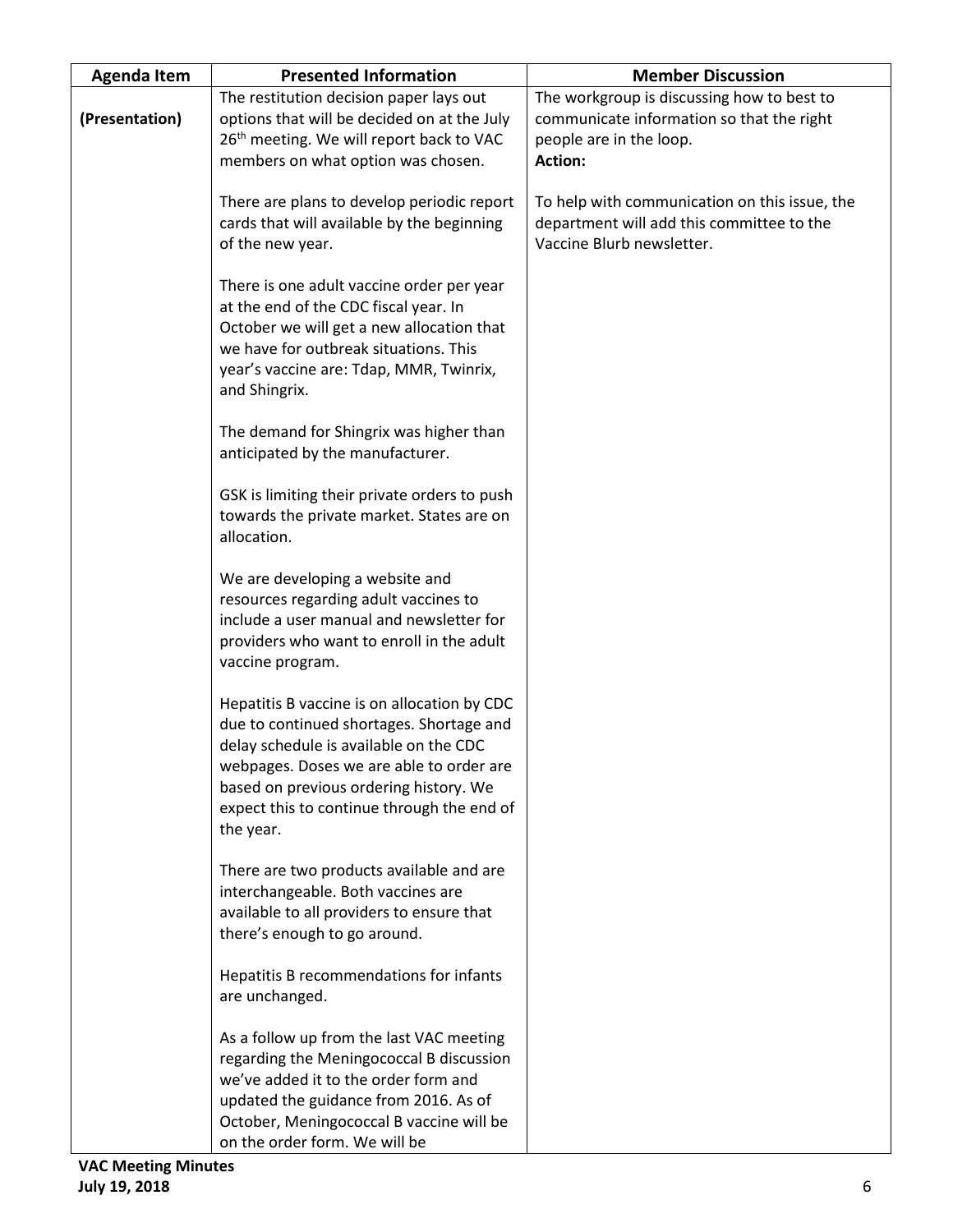| <b>Agenda Item</b> | <b>Presented Information</b>                                                                                                                                                                                                                                                       | <b>Member Discussion</b>                                                                                                             |
|--------------------|------------------------------------------------------------------------------------------------------------------------------------------------------------------------------------------------------------------------------------------------------------------------------------|--------------------------------------------------------------------------------------------------------------------------------------|
| (Presentation)     | The restitution decision paper lays out<br>options that will be decided on at the July<br>26 <sup>th</sup> meeting. We will report back to VAC<br>members on what option was chosen.                                                                                               | The workgroup is discussing how to best to<br>communicate information so that the right<br>people are in the loop.<br><b>Action:</b> |
|                    | There are plans to develop periodic report<br>cards that will available by the beginning<br>of the new year.                                                                                                                                                                       | To help with communication on this issue, the<br>department will add this committee to the<br>Vaccine Blurb newsletter.              |
|                    | There is one adult vaccine order per year<br>at the end of the CDC fiscal year. In<br>October we will get a new allocation that<br>we have for outbreak situations. This<br>year's vaccine are: Tdap, MMR, Twinrix,<br>and Shingrix.                                               |                                                                                                                                      |
|                    | The demand for Shingrix was higher than<br>anticipated by the manufacturer.                                                                                                                                                                                                        |                                                                                                                                      |
|                    | GSK is limiting their private orders to push<br>towards the private market. States are on<br>allocation.                                                                                                                                                                           |                                                                                                                                      |
|                    | We are developing a website and<br>resources regarding adult vaccines to<br>include a user manual and newsletter for<br>providers who want to enroll in the adult<br>vaccine program.                                                                                              |                                                                                                                                      |
|                    | Hepatitis B vaccine is on allocation by CDC<br>due to continued shortages. Shortage and<br>delay schedule is available on the CDC<br>webpages. Doses we are able to order are<br>based on previous ordering history. We<br>expect this to continue through the end of<br>the year. |                                                                                                                                      |
|                    | There are two products available and are<br>interchangeable. Both vaccines are<br>available to all providers to ensure that<br>there's enough to go around.                                                                                                                        |                                                                                                                                      |
|                    | Hepatitis B recommendations for infants<br>are unchanged.                                                                                                                                                                                                                          |                                                                                                                                      |
|                    | As a follow up from the last VAC meeting<br>regarding the Meningococcal B discussion<br>we've added it to the order form and<br>updated the guidance from 2016. As of<br>October, Meningococcal B vaccine will be<br>on the order form. We will be                                 |                                                                                                                                      |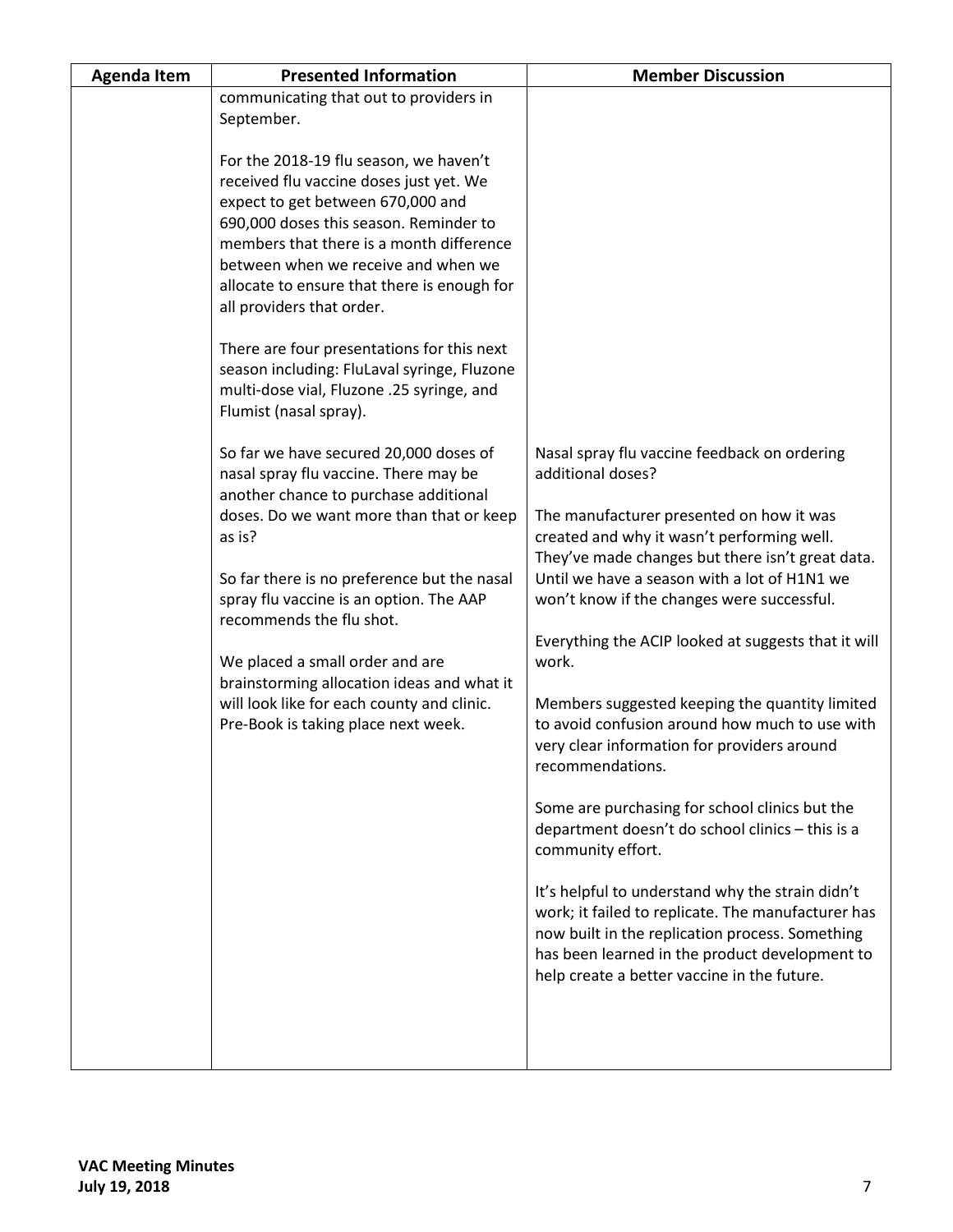| <b>Agenda Item</b> | <b>Presented Information</b>                                                                                                                                                                                                                                                                                                                                                                                                                                                                                                                                                                                                    | <b>Member Discussion</b>                                                                                                                                                                                                                                   |
|--------------------|---------------------------------------------------------------------------------------------------------------------------------------------------------------------------------------------------------------------------------------------------------------------------------------------------------------------------------------------------------------------------------------------------------------------------------------------------------------------------------------------------------------------------------------------------------------------------------------------------------------------------------|------------------------------------------------------------------------------------------------------------------------------------------------------------------------------------------------------------------------------------------------------------|
|                    | communicating that out to providers in                                                                                                                                                                                                                                                                                                                                                                                                                                                                                                                                                                                          |                                                                                                                                                                                                                                                            |
|                    | September.                                                                                                                                                                                                                                                                                                                                                                                                                                                                                                                                                                                                                      |                                                                                                                                                                                                                                                            |
|                    | For the 2018-19 flu season, we haven't<br>received flu vaccine doses just yet. We<br>expect to get between 670,000 and<br>690,000 doses this season. Reminder to<br>members that there is a month difference<br>between when we receive and when we<br>allocate to ensure that there is enough for<br>all providers that order.<br>There are four presentations for this next<br>season including: FluLaval syringe, Fluzone<br>multi-dose vial, Fluzone .25 syringe, and<br>Flumist (nasal spray).<br>So far we have secured 20,000 doses of<br>nasal spray flu vaccine. There may be<br>another chance to purchase additional | Nasal spray flu vaccine feedback on ordering<br>additional doses?                                                                                                                                                                                          |
|                    | doses. Do we want more than that or keep<br>as is?<br>So far there is no preference but the nasal<br>spray flu vaccine is an option. The AAP                                                                                                                                                                                                                                                                                                                                                                                                                                                                                    | The manufacturer presented on how it was<br>created and why it wasn't performing well.<br>They've made changes but there isn't great data.<br>Until we have a season with a lot of H1N1 we<br>won't know if the changes were successful.                   |
|                    | recommends the flu shot.                                                                                                                                                                                                                                                                                                                                                                                                                                                                                                                                                                                                        |                                                                                                                                                                                                                                                            |
|                    | We placed a small order and are<br>brainstorming allocation ideas and what it                                                                                                                                                                                                                                                                                                                                                                                                                                                                                                                                                   | Everything the ACIP looked at suggests that it will<br>work.                                                                                                                                                                                               |
|                    | will look like for each county and clinic.<br>Pre-Book is taking place next week.                                                                                                                                                                                                                                                                                                                                                                                                                                                                                                                                               | Members suggested keeping the quantity limited<br>to avoid confusion around how much to use with<br>very clear information for providers around<br>recommendations.                                                                                        |
|                    |                                                                                                                                                                                                                                                                                                                                                                                                                                                                                                                                                                                                                                 | Some are purchasing for school clinics but the<br>department doesn't do school clinics - this is a<br>community effort.                                                                                                                                    |
|                    |                                                                                                                                                                                                                                                                                                                                                                                                                                                                                                                                                                                                                                 | It's helpful to understand why the strain didn't<br>work; it failed to replicate. The manufacturer has<br>now built in the replication process. Something<br>has been learned in the product development to<br>help create a better vaccine in the future. |
|                    |                                                                                                                                                                                                                                                                                                                                                                                                                                                                                                                                                                                                                                 |                                                                                                                                                                                                                                                            |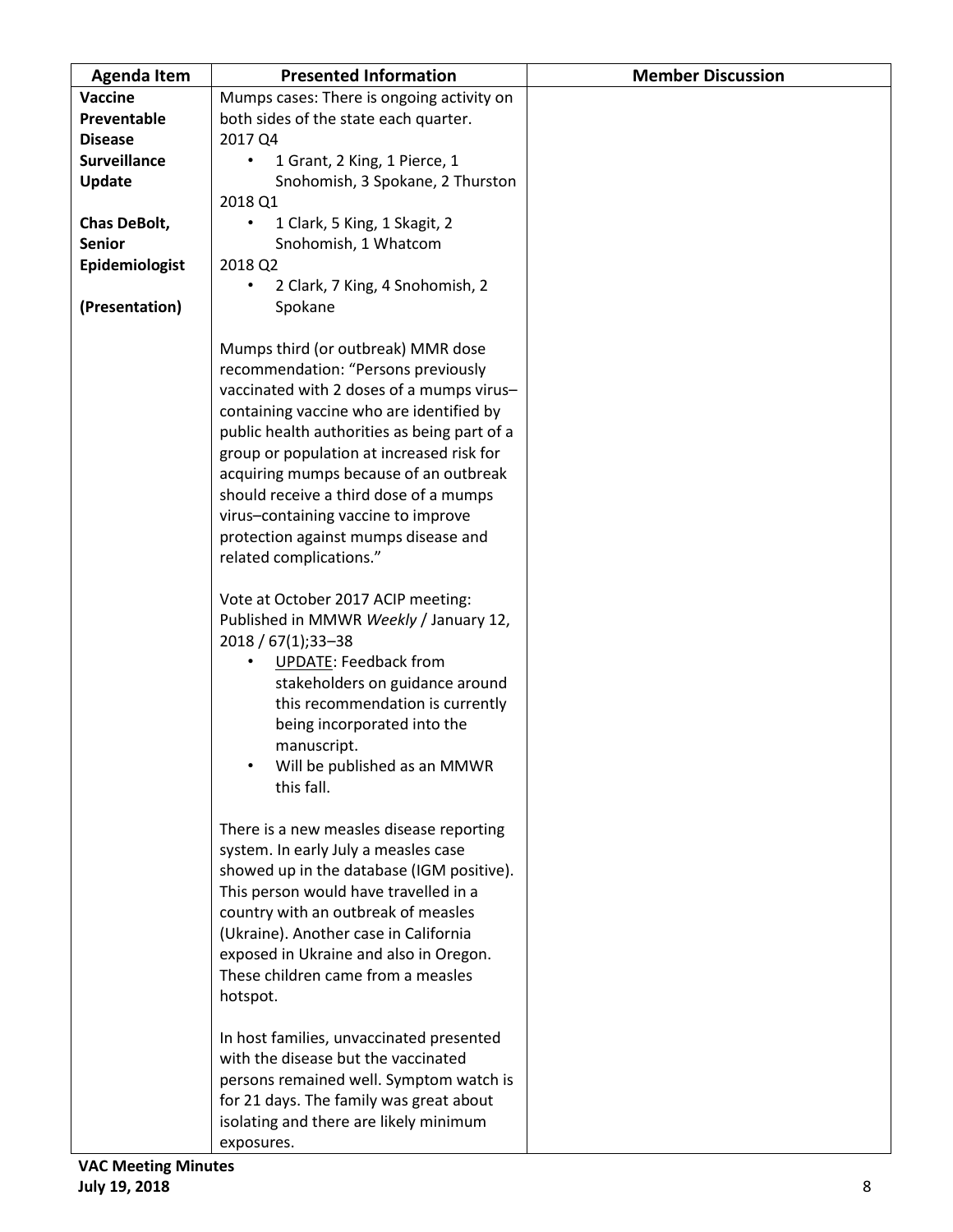| <b>Agenda Item</b>  | <b>Presented Information</b>                                                                                                                                                                                                                                                                                                                                                                                                                                                                                                                                                                                                                                                                                                                                                                                                                                                                                                                                                                          | <b>Member Discussion</b> |
|---------------------|-------------------------------------------------------------------------------------------------------------------------------------------------------------------------------------------------------------------------------------------------------------------------------------------------------------------------------------------------------------------------------------------------------------------------------------------------------------------------------------------------------------------------------------------------------------------------------------------------------------------------------------------------------------------------------------------------------------------------------------------------------------------------------------------------------------------------------------------------------------------------------------------------------------------------------------------------------------------------------------------------------|--------------------------|
| Vaccine             | Mumps cases: There is ongoing activity on                                                                                                                                                                                                                                                                                                                                                                                                                                                                                                                                                                                                                                                                                                                                                                                                                                                                                                                                                             |                          |
| Preventable         | both sides of the state each quarter.                                                                                                                                                                                                                                                                                                                                                                                                                                                                                                                                                                                                                                                                                                                                                                                                                                                                                                                                                                 |                          |
| <b>Disease</b>      | 2017 Q4                                                                                                                                                                                                                                                                                                                                                                                                                                                                                                                                                                                                                                                                                                                                                                                                                                                                                                                                                                                               |                          |
| <b>Surveillance</b> | 1 Grant, 2 King, 1 Pierce, 1<br>$\bullet$                                                                                                                                                                                                                                                                                                                                                                                                                                                                                                                                                                                                                                                                                                                                                                                                                                                                                                                                                             |                          |
| Update              | Snohomish, 3 Spokane, 2 Thurston                                                                                                                                                                                                                                                                                                                                                                                                                                                                                                                                                                                                                                                                                                                                                                                                                                                                                                                                                                      |                          |
|                     | 2018 Q1                                                                                                                                                                                                                                                                                                                                                                                                                                                                                                                                                                                                                                                                                                                                                                                                                                                                                                                                                                                               |                          |
| Chas DeBolt,        | 1 Clark, 5 King, 1 Skagit, 2<br>$\bullet$                                                                                                                                                                                                                                                                                                                                                                                                                                                                                                                                                                                                                                                                                                                                                                                                                                                                                                                                                             |                          |
| <b>Senior</b>       | Snohomish, 1 Whatcom                                                                                                                                                                                                                                                                                                                                                                                                                                                                                                                                                                                                                                                                                                                                                                                                                                                                                                                                                                                  |                          |
| Epidemiologist      | 2018 Q2                                                                                                                                                                                                                                                                                                                                                                                                                                                                                                                                                                                                                                                                                                                                                                                                                                                                                                                                                                                               |                          |
|                     | 2 Clark, 7 King, 4 Snohomish, 2<br>$\bullet$                                                                                                                                                                                                                                                                                                                                                                                                                                                                                                                                                                                                                                                                                                                                                                                                                                                                                                                                                          |                          |
| (Presentation)      | Spokane                                                                                                                                                                                                                                                                                                                                                                                                                                                                                                                                                                                                                                                                                                                                                                                                                                                                                                                                                                                               |                          |
|                     | Mumps third (or outbreak) MMR dose<br>recommendation: "Persons previously<br>vaccinated with 2 doses of a mumps virus-<br>containing vaccine who are identified by<br>public health authorities as being part of a<br>group or population at increased risk for<br>acquiring mumps because of an outbreak<br>should receive a third dose of a mumps<br>virus-containing vaccine to improve<br>protection against mumps disease and<br>related complications."<br>Vote at October 2017 ACIP meeting:<br>Published in MMWR Weekly / January 12,<br>2018 / 67(1); 33-38<br><b>UPDATE: Feedback from</b><br>$\bullet$<br>stakeholders on guidance around<br>this recommendation is currently<br>being incorporated into the<br>manuscript.<br>Will be published as an MMWR<br>this fall.<br>There is a new measles disease reporting<br>system. In early July a measles case<br>showed up in the database (IGM positive).<br>This person would have travelled in a<br>country with an outbreak of measles |                          |
|                     | (Ukraine). Another case in California<br>exposed in Ukraine and also in Oregon.                                                                                                                                                                                                                                                                                                                                                                                                                                                                                                                                                                                                                                                                                                                                                                                                                                                                                                                       |                          |
|                     | These children came from a measles                                                                                                                                                                                                                                                                                                                                                                                                                                                                                                                                                                                                                                                                                                                                                                                                                                                                                                                                                                    |                          |
|                     | hotspot.                                                                                                                                                                                                                                                                                                                                                                                                                                                                                                                                                                                                                                                                                                                                                                                                                                                                                                                                                                                              |                          |
|                     | In host families, unvaccinated presented<br>with the disease but the vaccinated<br>persons remained well. Symptom watch is<br>for 21 days. The family was great about<br>isolating and there are likely minimum                                                                                                                                                                                                                                                                                                                                                                                                                                                                                                                                                                                                                                                                                                                                                                                       |                          |
|                     | exposures.                                                                                                                                                                                                                                                                                                                                                                                                                                                                                                                                                                                                                                                                                                                                                                                                                                                                                                                                                                                            |                          |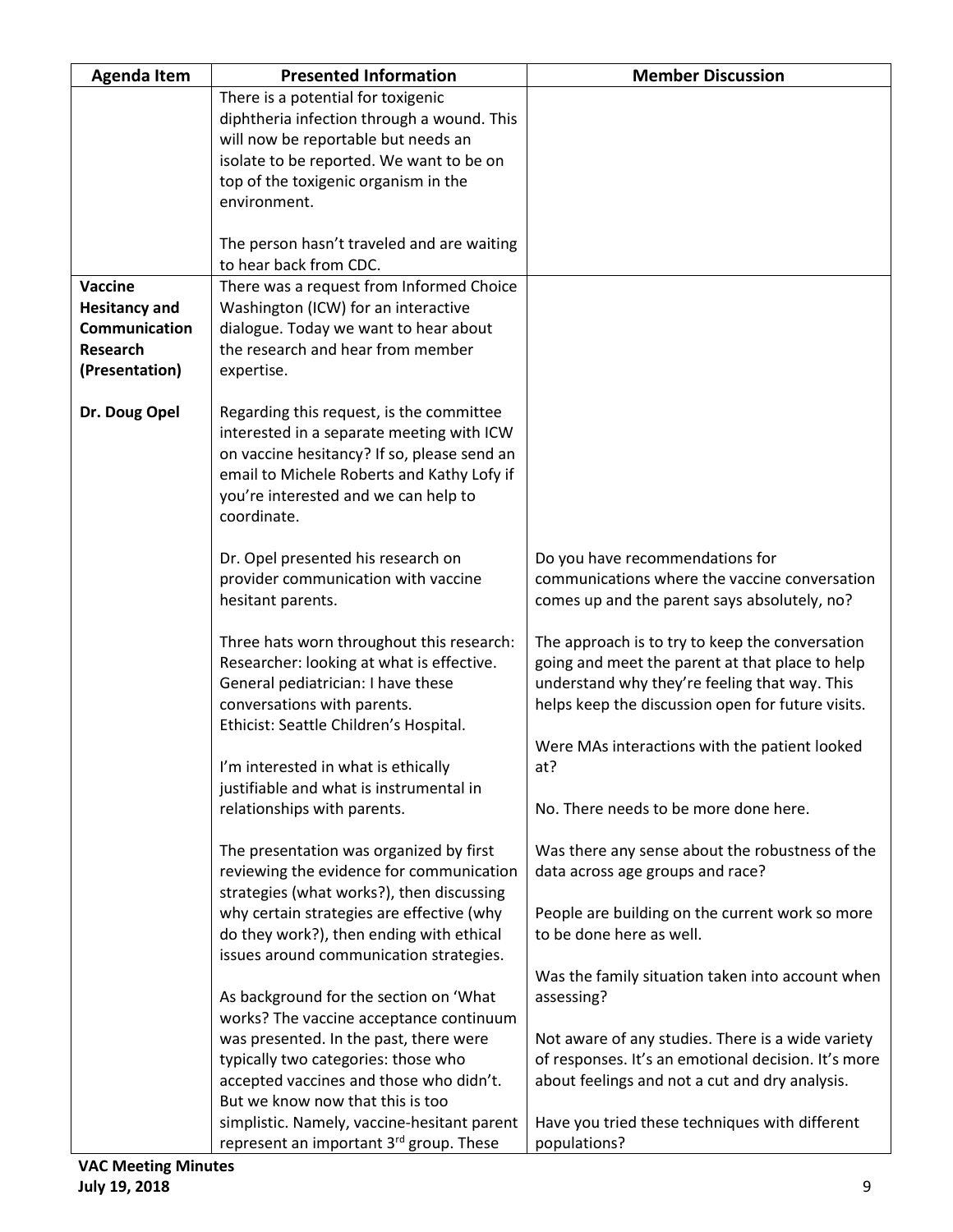| <b>Agenda Item</b>   | <b>Presented Information</b>                                                              | <b>Member Discussion</b>                                                    |
|----------------------|-------------------------------------------------------------------------------------------|-----------------------------------------------------------------------------|
|                      | There is a potential for toxigenic                                                        |                                                                             |
|                      | diphtheria infection through a wound. This                                                |                                                                             |
|                      | will now be reportable but needs an                                                       |                                                                             |
|                      | isolate to be reported. We want to be on                                                  |                                                                             |
|                      | top of the toxigenic organism in the                                                      |                                                                             |
|                      | environment.                                                                              |                                                                             |
|                      |                                                                                           |                                                                             |
|                      | The person hasn't traveled and are waiting                                                |                                                                             |
|                      | to hear back from CDC.                                                                    |                                                                             |
| Vaccine              | There was a request from Informed Choice                                                  |                                                                             |
| <b>Hesitancy and</b> | Washington (ICW) for an interactive                                                       |                                                                             |
| Communication        | dialogue. Today we want to hear about                                                     |                                                                             |
| Research             | the research and hear from member                                                         |                                                                             |
| (Presentation)       | expertise.                                                                                |                                                                             |
|                      |                                                                                           |                                                                             |
| Dr. Doug Opel        | Regarding this request, is the committee                                                  |                                                                             |
|                      | interested in a separate meeting with ICW                                                 |                                                                             |
|                      | on vaccine hesitancy? If so, please send an<br>email to Michele Roberts and Kathy Lofy if |                                                                             |
|                      | you're interested and we can help to                                                      |                                                                             |
|                      | coordinate.                                                                               |                                                                             |
|                      |                                                                                           |                                                                             |
|                      | Dr. Opel presented his research on                                                        | Do you have recommendations for                                             |
|                      | provider communication with vaccine                                                       | communications where the vaccine conversation                               |
|                      | hesitant parents.                                                                         | comes up and the parent says absolutely, no?                                |
|                      |                                                                                           |                                                                             |
|                      | Three hats worn throughout this research:                                                 | The approach is to try to keep the conversation                             |
|                      | Researcher: looking at what is effective.                                                 | going and meet the parent at that place to help                             |
|                      | General pediatrician: I have these                                                        | understand why they're feeling that way. This                               |
|                      | conversations with parents.                                                               | helps keep the discussion open for future visits.                           |
|                      | Ethicist: Seattle Children's Hospital.                                                    |                                                                             |
|                      |                                                                                           | Were MAs interactions with the patient looked                               |
|                      | I'm interested in what is ethically                                                       | at?                                                                         |
|                      | justifiable and what is instrumental in                                                   |                                                                             |
|                      | relationships with parents.                                                               | No. There needs to be more done here.                                       |
|                      |                                                                                           |                                                                             |
|                      | The presentation was organized by first                                                   | Was there any sense about the robustness of the                             |
|                      | reviewing the evidence for communication                                                  | data across age groups and race?                                            |
|                      | strategies (what works?), then discussing                                                 |                                                                             |
|                      | why certain strategies are effective (why                                                 | People are building on the current work so more<br>to be done here as well. |
|                      | do they work?), then ending with ethical<br>issues around communication strategies.       |                                                                             |
|                      |                                                                                           | Was the family situation taken into account when                            |
|                      | As background for the section on 'What                                                    | assessing?                                                                  |
|                      | works? The vaccine acceptance continuum                                                   |                                                                             |
|                      | was presented. In the past, there were                                                    | Not aware of any studies. There is a wide variety                           |
|                      | typically two categories: those who                                                       | of responses. It's an emotional decision. It's more                         |
|                      | accepted vaccines and those who didn't.                                                   | about feelings and not a cut and dry analysis.                              |
|                      | But we know now that this is too                                                          |                                                                             |
|                      | simplistic. Namely, vaccine-hesitant parent                                               | Have you tried these techniques with different                              |
|                      | represent an important 3rd group. These                                                   | populations?                                                                |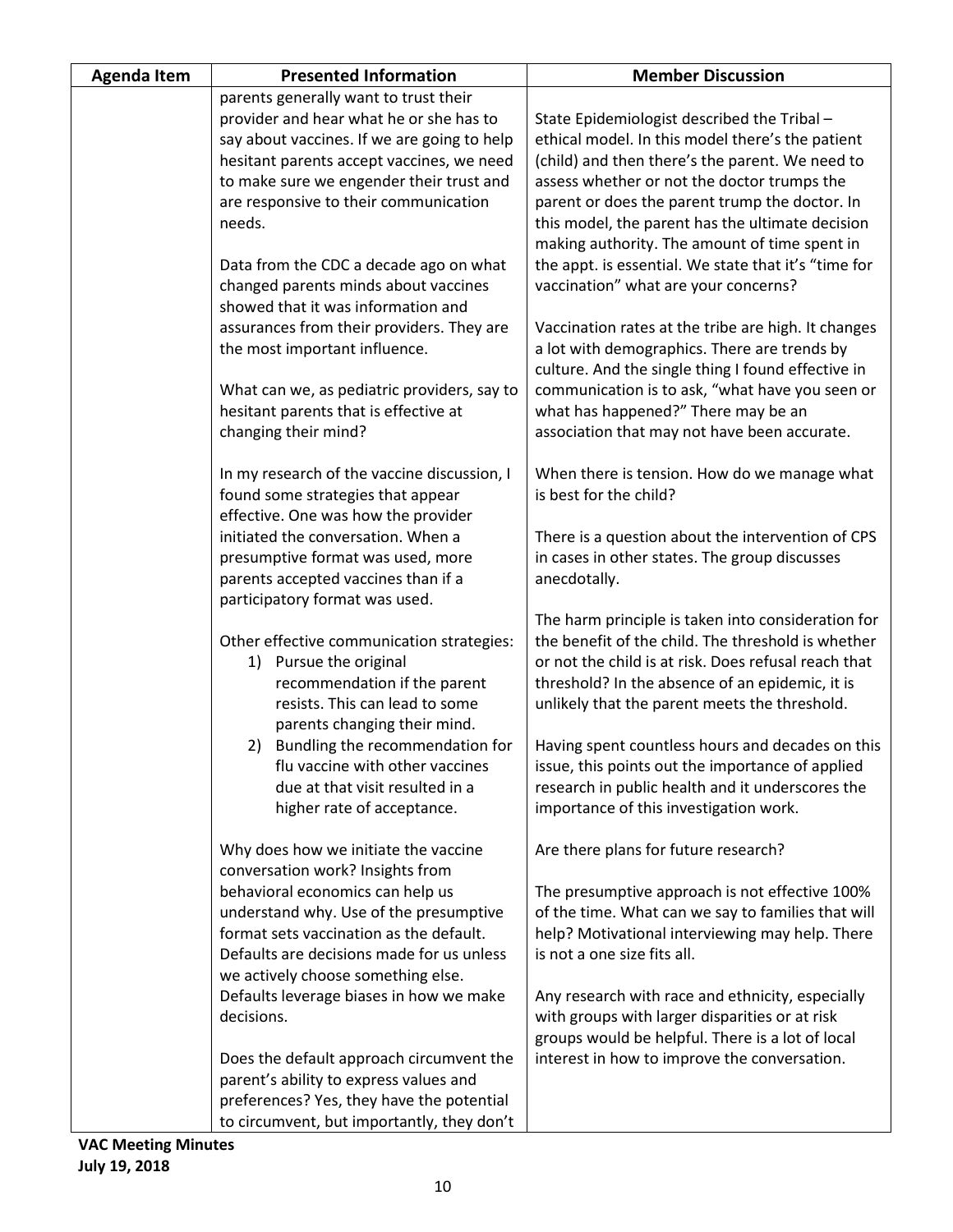| <b>Agenda Item</b> | <b>Presented Information</b>                                                        | <b>Member Discussion</b>                                                                                 |
|--------------------|-------------------------------------------------------------------------------------|----------------------------------------------------------------------------------------------------------|
|                    | parents generally want to trust their                                               |                                                                                                          |
|                    | provider and hear what he or she has to                                             | State Epidemiologist described the Tribal -                                                              |
|                    | say about vaccines. If we are going to help                                         | ethical model. In this model there's the patient                                                         |
|                    | hesitant parents accept vaccines, we need                                           | (child) and then there's the parent. We need to                                                          |
|                    | to make sure we engender their trust and                                            | assess whether or not the doctor trumps the                                                              |
|                    | are responsive to their communication                                               | parent or does the parent trump the doctor. In                                                           |
|                    | needs.                                                                              | this model, the parent has the ultimate decision                                                         |
|                    |                                                                                     | making authority. The amount of time spent in                                                            |
|                    | Data from the CDC a decade ago on what                                              | the appt. is essential. We state that it's "time for                                                     |
|                    | changed parents minds about vaccines                                                | vaccination" what are your concerns?                                                                     |
|                    | showed that it was information and                                                  |                                                                                                          |
|                    | assurances from their providers. They are                                           | Vaccination rates at the tribe are high. It changes                                                      |
|                    | the most important influence.                                                       | a lot with demographics. There are trends by                                                             |
|                    |                                                                                     | culture. And the single thing I found effective in                                                       |
|                    | What can we, as pediatric providers, say to                                         | communication is to ask, "what have you seen or                                                          |
|                    | hesitant parents that is effective at                                               | what has happened?" There may be an                                                                      |
|                    | changing their mind?                                                                | association that may not have been accurate.                                                             |
|                    |                                                                                     |                                                                                                          |
|                    | In my research of the vaccine discussion, I                                         | When there is tension. How do we manage what                                                             |
|                    | found some strategies that appear                                                   | is best for the child?                                                                                   |
|                    | effective. One was how the provider                                                 |                                                                                                          |
|                    | initiated the conversation. When a                                                  | There is a question about the intervention of CPS                                                        |
|                    | presumptive format was used, more                                                   | in cases in other states. The group discusses                                                            |
|                    | parents accepted vaccines than if a                                                 | anecdotally.                                                                                             |
|                    | participatory format was used.                                                      |                                                                                                          |
|                    |                                                                                     | The harm principle is taken into consideration for<br>the benefit of the child. The threshold is whether |
|                    | Other effective communication strategies:                                           | or not the child is at risk. Does refusal reach that                                                     |
|                    | 1) Pursue the original<br>recommendation if the parent                              | threshold? In the absence of an epidemic, it is                                                          |
|                    | resists. This can lead to some                                                      | unlikely that the parent meets the threshold.                                                            |
|                    | parents changing their mind.                                                        |                                                                                                          |
|                    | 2)<br>Bundling the recommendation for                                               | Having spent countless hours and decades on this                                                         |
|                    | flu vaccine with other vaccines                                                     | issue, this points out the importance of applied                                                         |
|                    | due at that visit resulted in a                                                     | research in public health and it underscores the                                                         |
|                    | higher rate of acceptance.                                                          | importance of this investigation work.                                                                   |
|                    |                                                                                     |                                                                                                          |
|                    | Why does how we initiate the vaccine                                                | Are there plans for future research?                                                                     |
|                    | conversation work? Insights from                                                    |                                                                                                          |
|                    | behavioral economics can help us                                                    | The presumptive approach is not effective 100%                                                           |
|                    | understand why. Use of the presumptive                                              | of the time. What can we say to families that will                                                       |
|                    | format sets vaccination as the default.                                             | help? Motivational interviewing may help. There                                                          |
|                    | Defaults are decisions made for us unless                                           | is not a one size fits all.                                                                              |
|                    | we actively choose something else.                                                  |                                                                                                          |
|                    | Defaults leverage biases in how we make                                             | Any research with race and ethnicity, especially                                                         |
|                    | decisions.                                                                          | with groups with larger disparities or at risk                                                           |
|                    |                                                                                     | groups would be helpful. There is a lot of local                                                         |
|                    | Does the default approach circumvent the                                            | interest in how to improve the conversation.                                                             |
|                    | parent's ability to express values and<br>preferences? Yes, they have the potential |                                                                                                          |
|                    |                                                                                     |                                                                                                          |
|                    | to circumvent, but importantly, they don't                                          |                                                                                                          |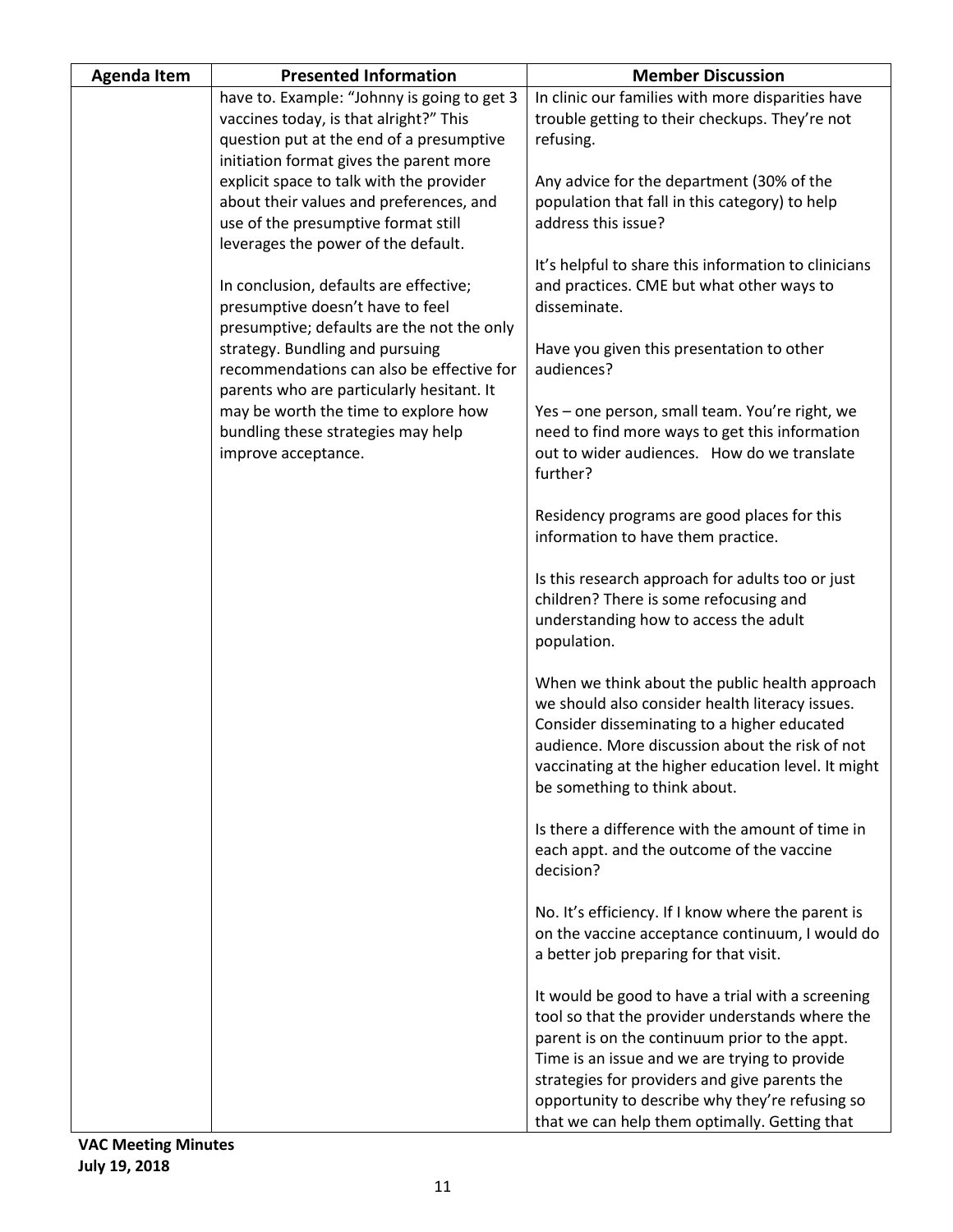| <b>Agenda Item</b> | <b>Presented Information</b>                                                                                                                                               | <b>Member Discussion</b>                                                                                                                                                                                                                                                                   |
|--------------------|----------------------------------------------------------------------------------------------------------------------------------------------------------------------------|--------------------------------------------------------------------------------------------------------------------------------------------------------------------------------------------------------------------------------------------------------------------------------------------|
|                    | have to. Example: "Johnny is going to get 3<br>vaccines today, is that alright?" This                                                                                      | In clinic our families with more disparities have<br>trouble getting to their checkups. They're not                                                                                                                                                                                        |
|                    | question put at the end of a presumptive<br>initiation format gives the parent more<br>explicit space to talk with the provider<br>about their values and preferences, and | refusing.<br>Any advice for the department (30% of the<br>population that fall in this category) to help                                                                                                                                                                                   |
|                    | use of the presumptive format still<br>leverages the power of the default.                                                                                                 | address this issue?<br>It's helpful to share this information to clinicians                                                                                                                                                                                                                |
|                    | In conclusion, defaults are effective;<br>presumptive doesn't have to feel<br>presumptive; defaults are the not the only                                                   | and practices. CME but what other ways to<br>disseminate.                                                                                                                                                                                                                                  |
|                    | strategy. Bundling and pursuing<br>recommendations can also be effective for<br>parents who are particularly hesitant. It                                                  | Have you given this presentation to other<br>audiences?                                                                                                                                                                                                                                    |
|                    | may be worth the time to explore how<br>bundling these strategies may help<br>improve acceptance.                                                                          | Yes - one person, small team. You're right, we<br>need to find more ways to get this information<br>out to wider audiences. How do we translate<br>further?                                                                                                                                |
|                    |                                                                                                                                                                            | Residency programs are good places for this<br>information to have them practice.                                                                                                                                                                                                          |
|                    |                                                                                                                                                                            | Is this research approach for adults too or just<br>children? There is some refocusing and<br>understanding how to access the adult<br>population.                                                                                                                                         |
|                    |                                                                                                                                                                            | When we think about the public health approach<br>we should also consider health literacy issues.<br>Consider disseminating to a higher educated<br>audience. More discussion about the risk of not<br>vaccinating at the higher education level. It might<br>be something to think about. |
|                    |                                                                                                                                                                            | Is there a difference with the amount of time in<br>each appt. and the outcome of the vaccine<br>decision?                                                                                                                                                                                 |
|                    |                                                                                                                                                                            | No. It's efficiency. If I know where the parent is<br>on the vaccine acceptance continuum, I would do<br>a better job preparing for that visit.                                                                                                                                            |
|                    |                                                                                                                                                                            | It would be good to have a trial with a screening<br>tool so that the provider understands where the<br>parent is on the continuum prior to the appt.<br>Time is an issue and we are trying to provide                                                                                     |
|                    |                                                                                                                                                                            | strategies for providers and give parents the<br>opportunity to describe why they're refusing so<br>that we can help them optimally. Getting that                                                                                                                                          |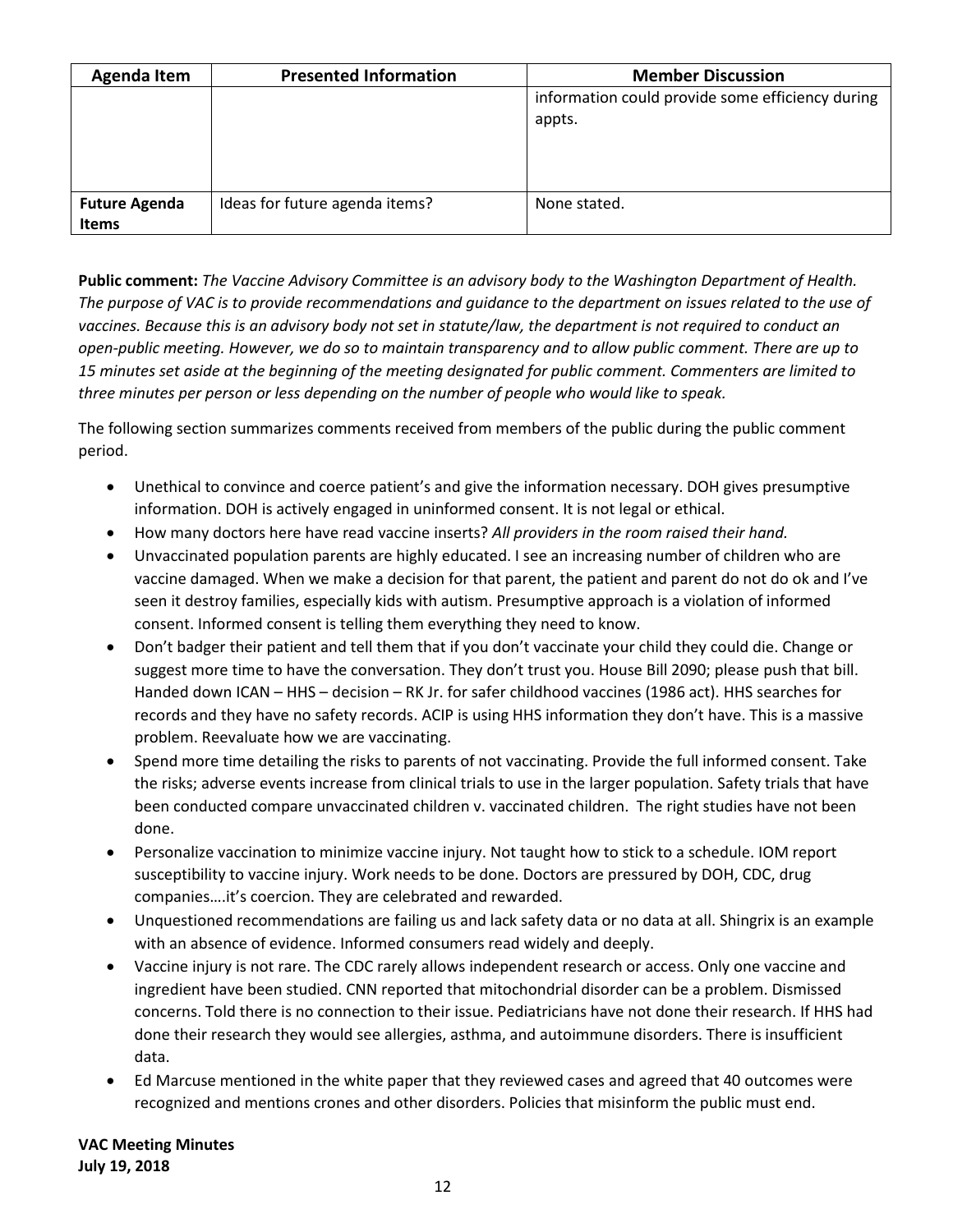| <b>Agenda Item</b>                   | <b>Presented Information</b>   | <b>Member Discussion</b>                                   |
|--------------------------------------|--------------------------------|------------------------------------------------------------|
|                                      |                                | information could provide some efficiency during<br>appts. |
| <b>Future Agenda</b><br><b>Items</b> | Ideas for future agenda items? | None stated.                                               |

**Public comment:** *The Vaccine Advisory Committee is an advisory body to the Washington Department of Health. The purpose of VAC is to provide recommendations and guidance to the department on issues related to the use of vaccines. Because this is an advisory body not set in statute/law, the department is not required to conduct an open-public meeting. However, we do so to maintain transparency and to allow public comment. There are up to 15 minutes set aside at the beginning of the meeting designated for public comment. Commenters are limited to three minutes per person or less depending on the number of people who would like to speak.*

The following section summarizes comments received from members of the public during the public comment period.

- Unethical to convince and coerce patient's and give the information necessary. DOH gives presumptive information. DOH is actively engaged in uninformed consent. It is not legal or ethical.
- How many doctors here have read vaccine inserts? *All providers in the room raised their hand.*
- Unvaccinated population parents are highly educated. I see an increasing number of children who are vaccine damaged. When we make a decision for that parent, the patient and parent do not do ok and I've seen it destroy families, especially kids with autism. Presumptive approach is a violation of informed consent. Informed consent is telling them everything they need to know.
- Don't badger their patient and tell them that if you don't vaccinate your child they could die. Change or suggest more time to have the conversation. They don't trust you. House Bill 2090; please push that bill. Handed down ICAN – HHS – decision – RK Jr. for safer childhood vaccines (1986 act). HHS searches for records and they have no safety records. ACIP is using HHS information they don't have. This is a massive problem. Reevaluate how we are vaccinating.
- Spend more time detailing the risks to parents of not vaccinating. Provide the full informed consent. Take the risks; adverse events increase from clinical trials to use in the larger population. Safety trials that have been conducted compare unvaccinated children v. vaccinated children. The right studies have not been done.
- Personalize vaccination to minimize vaccine injury. Not taught how to stick to a schedule. IOM report susceptibility to vaccine injury. Work needs to be done. Doctors are pressured by DOH, CDC, drug companies….it's coercion. They are celebrated and rewarded.
- Unquestioned recommendations are failing us and lack safety data or no data at all. Shingrix is an example with an absence of evidence. Informed consumers read widely and deeply.
- Vaccine injury is not rare. The CDC rarely allows independent research or access. Only one vaccine and ingredient have been studied. CNN reported that mitochondrial disorder can be a problem. Dismissed concerns. Told there is no connection to their issue. Pediatricians have not done their research. If HHS had done their research they would see allergies, asthma, and autoimmune disorders. There is insufficient data.
- Ed Marcuse mentioned in the white paper that they reviewed cases and agreed that 40 outcomes were recognized and mentions crones and other disorders. Policies that misinform the public must end.